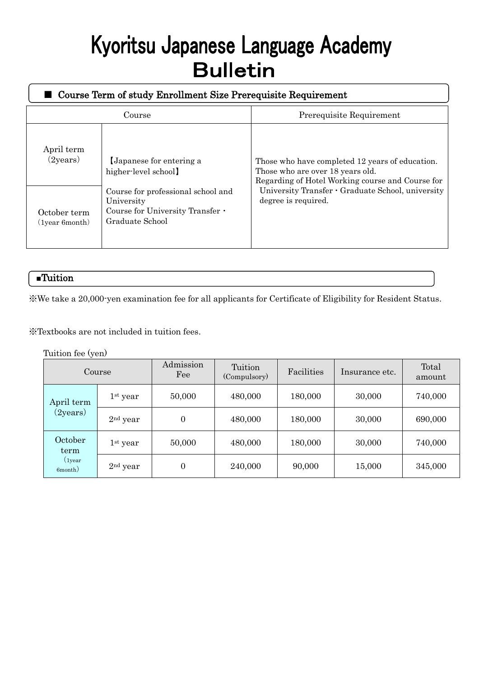# Kyoritsu Japanese Language Academy **Bulletin**

| Course Term of study Enrollment Size Prerequisite Requirement |                                                                                                         |                                                                                                                                         |  |  |  |  |  |  |
|---------------------------------------------------------------|---------------------------------------------------------------------------------------------------------|-----------------------------------------------------------------------------------------------------------------------------------------|--|--|--|--|--|--|
|                                                               | Course                                                                                                  | Prerequisite Requirement                                                                                                                |  |  |  |  |  |  |
| April term<br>(2years)                                        | Japanese for entering a<br>higher-level school]                                                         | Those who have completed 12 years of education.<br>Those who are over 18 years old.<br>Regarding of Hotel Working course and Course for |  |  |  |  |  |  |
| October term<br>(1year 6month)                                | Course for professional school and<br>University<br>Course for University Transfer .<br>Graduate School | University Transfer · Graduate School, university<br>degree is required.                                                                |  |  |  |  |  |  |

# ■Tuition

※We take a 20,000-yen examination fee for all applicants for Certificate of Eligibility for Resident Status.

※Textbooks are not included in tuition fees.

Tuition fee (yen)

| Course                               |            | Admission<br>Fee | Tuition<br>(Compulsory) | Facilities | Insurance etc. | Total<br>amount |
|--------------------------------------|------------|------------------|-------------------------|------------|----------------|-----------------|
| April term<br>$(2)$ years)           | $1st$ year | 50,000           | 480,000                 | 180,000    | 30,000         | 740,000         |
|                                      | $2nd$ year | $\mathbf{0}$     | 480,000                 | 180,000    | 30,000         | 690,000         |
| October<br>term<br>(year)<br>6month) | $1st$ year | 50,000           | 480,000                 | 180,000    | 30,000         | 740,000         |
|                                      | $2nd$ year | 0                | 240,000                 | 90,000     | 15,000         | 345,000         |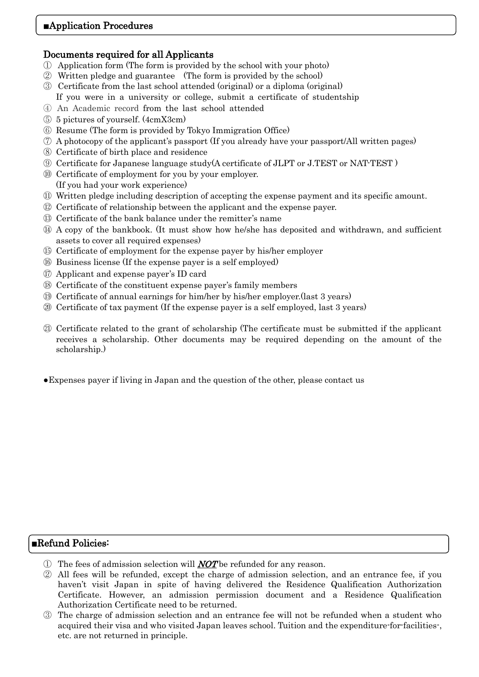# Documents required for all Applicants

- Application form (The form is provided by the school with your photo)
- Written pledge and guarantee (The form is provided by the school)
- Certificate from the last school attended (original) or a diploma (original)
- If you were in a university or college, submit a certificate of studentship
- An Academic record from the last school attended
- 5 pictures of yourself. (4cmX3cm)
- Resume (The form is provided by Tokyo Immigration Office)
- A photocopy of the applicant's passport (If you already have your passport/All written pages)
- Certificate of birth place and residence
- Certificate for Japanese language study(A certificate of JLPT or J.TEST or NAT-TEST )
- Certificate of employment for you by your employer. (If you had your work experience)
- Written pledge including description of accepting the expense payment and its specific amount.
- Certificate of relationship between the applicant and the expense payer.
- Certificate of the bank balance under the remitter's name
- A copy of the bankbook. (It must show how he/she has deposited and withdrawn, and sufficient assets to cover all required expenses)
- Certificate of employment for the expense payer by his/her employer
- Business license (If the expense payer is a self employed)
- Applicant and expense payer's ID card
- Certificate of the constituent expense payer's family members
- Certificate of annual earnings for him/her by his/her employer.(last 3 years)
- Certificate of tax payment (If the expense payer is a self employed, last 3 years)
- Certificate related to the grant of scholarship (The certificate must be submitted if the applicant receives a scholarship. Other documents may be required depending on the amount of the scholarship.)
- ●Expenses payer if living in Japan and the question of the other, please contact us

# ■Refund Policies:

- $\Box$  The fees of admission selection will **NOT** be refunded for any reason.
- All fees will be refunded, except the charge of admission selection, and an entrance fee, if you haven't visit Japan in spite of having delivered the Residence Qualification Authorization Certificate. However, an admission permission document and a Residence Qualification Authorization Certificate need to be returned.
- The charge of admission selection and an entrance fee will not be refunded when a student who acquired their visa and who visited Japan leaves school. Tuition and the expenditure-for-facilities-, etc. are not returned in principle.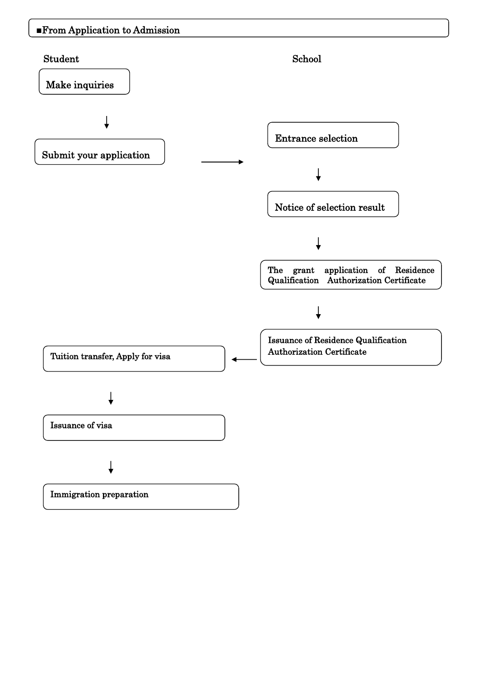# ■From Application to Admission

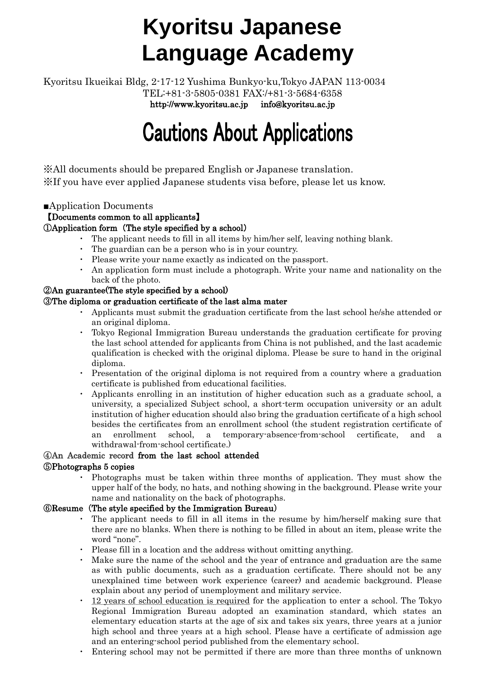# **Kyoritsu Japanese Language Academy**

Kyoritsu Ikueikai Bldg, 2-17-12 Yushima Bunkyo-ku,Tokyo JAPAN 113-0034 TEL:+81-3-5805-0381 FAX:/+81-3-5684-6358 http://www.kyoritsu.ac.jp info@kyoritsu.ac.jp

# **Cautions About Applications**

※All documents should be prepared English or Japanese translation. ※If you have ever applied Japanese students visa before, please let us know.

## ■Application Documents

## 【Documents common to all applicants】

### ①Application form(The style specified by a school)

- The applicant needs to fill in all items by him/her self, leaving nothing blank.
- ・ The guardian can be a person who is in your country.
- ・ Please write your name exactly as indicated on the passport.
- An application form must include a photograph. Write your name and nationality on the back of the photo.

#### ②An guarantee(The style specified by a school)

#### ③The diploma or graduation certificate of the last alma mater

- Applicants must submit the graduation certificate from the last school he/she attended or an original diploma.
- Tokyo Regional Immigration Bureau understands the graduation certificate for proving the last school attended for applicants from China is not published, and the last academic qualification is checked with the original diploma. Please be sure to hand in the original diploma.
- Presentation of the original diploma is not required from a country where a graduation certificate is published from educational facilities.
- ・ Applicants enrolling in an institution of higher education such as a graduate school, a university, a specialized Subject school, a short-term occupation university or an adult institution of higher education should also bring the graduation certificate of a high school besides the certificates from an enrollment school (the student registration certificate of an enrollment school, a temporary-absence-from-school certificate, and a withdrawal-from-school certificate.)

### ④An Academic record from the last school attended

#### ⑤Photographs 5 copies

・ Photographs must be taken within three months of application. They must show the upper half of the body, no hats, and nothing showing in the background. Please write your name and nationality on the back of photographs.

#### ⑥Resume(The style specified by the Immigration Bureau)

- The applicant needs to fill in all items in the resume by him/herself making sure that there are no blanks. When there is nothing to be filled in about an item, please write the word "none".
- ・ Please fill in a location and the address without omitting anything.
- ・ Make sure the name of the school and the year of entrance and graduation are the same as with public documents, such as a graduation certificate. There should not be any unexplained time between work experience (career) and academic background. Please explain about any period of unemployment and military service.
- 12 years of school education is required for the application to enter a school. The Tokyo Regional Immigration Bureau adopted an examination standard, which states an elementary education starts at the age of six and takes six years, three years at a junior high school and three years at a high school. Please have a certificate of admission age and an entering-school period published from the elementary school.
- Entering school may not be permitted if there are more than three months of unknown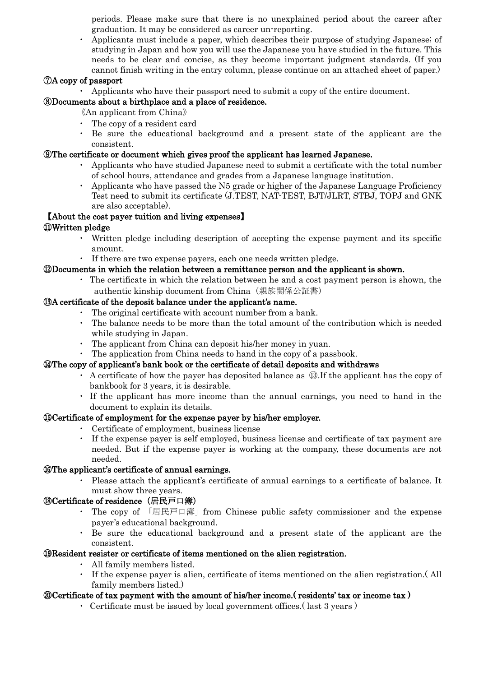periods. Please make sure that there is no unexplained period about the career after graduation. It may be considered as career un-reporting.

・ Applicants must include a paper, which describes their purpose of studying Japanese; of studying in Japan and how you will use the Japanese you have studied in the future. This needs to be clear and concise, as they become important judgment standards. (If you cannot finish writing in the entry column, please continue on an attached sheet of paper.)

#### ⑦A copy of passport

・ Applicants who have their passport need to submit a copy of the entire document.

#### ⑧Documents about a birthplace and a place of residence.

《An applicant from China》

- ・ The copy of a resident card
- ・ Be sure the educational background and a present state of the applicant are the consistent.

#### ⑨The certificate or document which gives proof the applicant has learned Japanese.

- ・ Applicants who have studied Japanese need to submit a certificate with the total number of school hours, attendance and grades from a Japanese language institution.
- ・ Applicants who have passed the N5 grade or higher of the Japanese Language Proficiency Test need to submit its certificate (J.TEST, NAT-TEST, BJT/JLRT, STBJ, TOPJ and GNK are also acceptable).

#### 【About the cost payer tuition and living expenses】

#### ⑪Written pledge

- ・ Written pledge including description of accepting the expense payment and its specific amount.
- ・ If there are two expense payers, each one needs written pledge.

#### ⑫Documents in which the relation between a remittance person and the applicant is shown.

・ The certificate in which the relation between he and a cost payment person is shown, the authentic kinship document from China(親族関係公証書)

#### ⑬A certificate of the deposit balance under the applicant's name.

- The original certificate with account number from a bank.
- The balance needs to be more than the total amount of the contribution which is needed while studying in Japan.
- ・ The applicant from China can deposit his/her money in yuan.
- The application from China needs to hand in the copy of a passbook.

#### ⑭The copy of applicant's bank book or the certificate of detail deposits and withdraws

- ・ A certificate of how the payer has deposited balance as ⑬.If the applicant has the copy of bankbook for 3 years, it is desirable.
- If the applicant has more income than the annual earnings, you need to hand in the document to explain its details.

#### ⑮Certificate of employment for the expense payer by his/her employer.

- ・ Certificate of employment, business license
- ・ If the expense payer is self employed, business license and certificate of tax payment are needed. But if the expense payer is working at the company, these documents are not needed.

#### ⑯The applicant's certificate of annual earnings.

Please attach the applicant's certificate of annual earnings to a certificate of balance. It must show three years.

#### ⑱Certificate of residence(居民戸口簿)

- The copy of 「居民戸口簿」from Chinese public safety commissioner and the expense payer's educational background.
- Be sure the educational background and a present state of the applicant are the consistent.

#### ⑲Resident resister or certificate of items mentioned on the alien registration.

- ・ All family members listed.
- If the expense payer is alien, certificate of items mentioned on the alien registration. (All family members listed.)

#### ⑳Certificate of tax payment with the amount of his/her income.( residents' tax or income tax )

• Certificate must be issued by local government offices. (last 3 years)